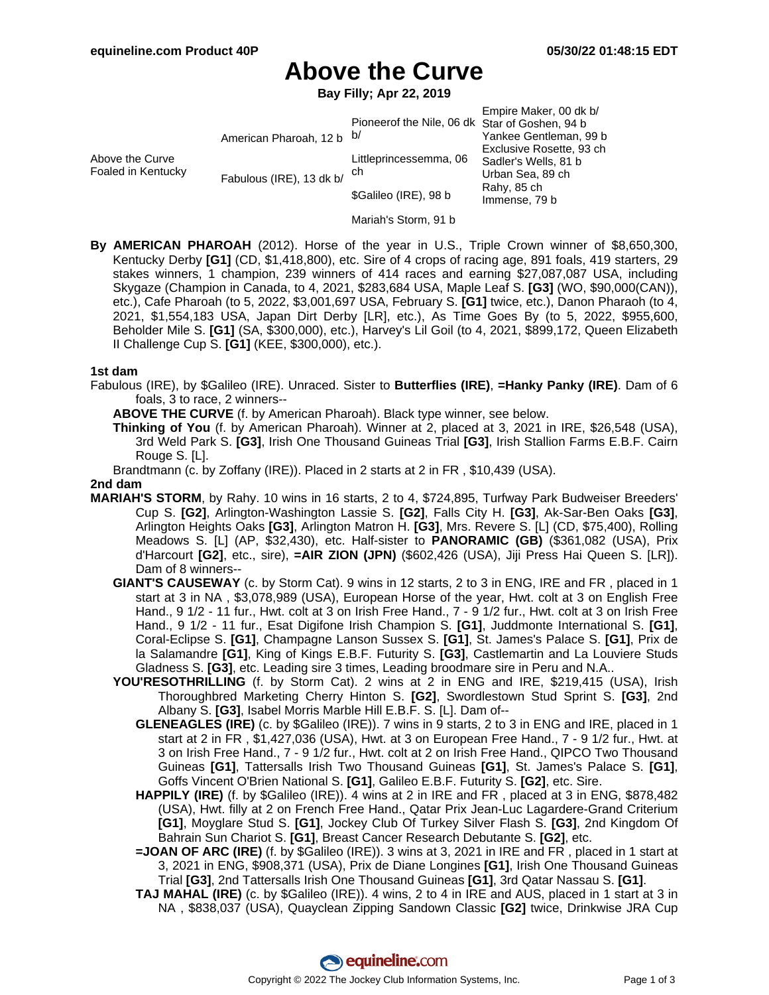# **Above the Curve**

**Bay Filly; Apr 22, 2019**

|                                       |                           |                                                | Empire Maker, 00 dk b/   |
|---------------------------------------|---------------------------|------------------------------------------------|--------------------------|
|                                       |                           | Pioneerof the Nile, 06 dk Star of Goshen, 94 b |                          |
| Above the Curve<br>Foaled in Kentucky | American Pharoah, 12 b b/ |                                                | Yankee Gentleman, 99 b   |
|                                       |                           |                                                | Exclusive Rosette, 93 ch |
|                                       | Fabulous (IRE), 13 dk b/  | Littleprincessemma, 06<br>ch                   | Sadler's Wells, 81 b     |
|                                       |                           |                                                | Urban Sea, 89 ch         |
|                                       |                           | \$Galileo (IRE), 98 b                          | Rahy, 85 ch              |
|                                       |                           |                                                | Immense, 79 b            |

- Mariah's Storm, 91 b
- **By AMERICAN PHAROAH** (2012). Horse of the year in U.S., Triple Crown winner of \$8,650,300, Kentucky Derby **[G1]** (CD, \$1,418,800), etc. Sire of 4 crops of racing age, 891 foals, 419 starters, 29 stakes winners, 1 champion, 239 winners of 414 races and earning \$27,087,087 USA, including Skygaze (Champion in Canada, to 4, 2021, \$283,684 USA, Maple Leaf S. **[G3]** (WO, \$90,000(CAN)), etc.), Cafe Pharoah (to 5, 2022, \$3,001,697 USA, February S. **[G1]** twice, etc.), Danon Pharaoh (to 4, 2021, \$1,554,183 USA, Japan Dirt Derby [LR], etc.), As Time Goes By (to 5, 2022, \$955,600, Beholder Mile S. **[G1]** (SA, \$300,000), etc.), Harvey's Lil Goil (to 4, 2021, \$899,172, Queen Elizabeth II Challenge Cup S. **[G1]** (KEE, \$300,000), etc.).

#### **1st dam**

- Fabulous (IRE), by \$Galileo (IRE). Unraced. Sister to **Butterflies (IRE)**, **=Hanky Panky (IRE)**. Dam of 6 foals, 3 to race, 2 winners--
	- **ABOVE THE CURVE** (f. by American Pharoah). Black type winner, see below.
	- **Thinking of You** (f. by American Pharoah). Winner at 2, placed at 3, 2021 in IRE, \$26,548 (USA), 3rd Weld Park S. **[G3]**, Irish One Thousand Guineas Trial **[G3]**, Irish Stallion Farms E.B.F. Cairn Rouge S. [L].
	- Brandtmann (c. by Zoffany (IRE)). Placed in 2 starts at 2 in FR , \$10,439 (USA).

#### **2nd dam**

- **MARIAH'S STORM**, by Rahy. 10 wins in 16 starts, 2 to 4, \$724,895, Turfway Park Budweiser Breeders' Cup S. **[G2]**, Arlington-Washington Lassie S. **[G2]**, Falls City H. **[G3]**, Ak-Sar-Ben Oaks **[G3]**, Arlington Heights Oaks **[G3]**, Arlington Matron H. **[G3]**, Mrs. Revere S. [L] (CD, \$75,400), Rolling Meadows S. [L] (AP, \$32,430), etc. Half-sister to **PANORAMIC (GB)** (\$361,082 (USA), Prix d'Harcourt **[G2]**, etc., sire), **=AIR ZION (JPN)** (\$602,426 (USA), Jiji Press Hai Queen S. [LR]). Dam of 8 winners--
	- **GIANT'S CAUSEWAY** (c. by Storm Cat). 9 wins in 12 starts, 2 to 3 in ENG, IRE and FR , placed in 1 start at 3 in NA , \$3,078,989 (USA), European Horse of the year, Hwt. colt at 3 on English Free Hand., 9 1/2 - 11 fur., Hwt. colt at 3 on Irish Free Hand., 7 - 9 1/2 fur., Hwt. colt at 3 on Irish Free Hand., 9 1/2 - 11 fur., Esat Digifone Irish Champion S. **[G1]**, Juddmonte International S. **[G1]**, Coral-Eclipse S. **[G1]**, Champagne Lanson Sussex S. **[G1]**, St. James's Palace S. **[G1]**, Prix de la Salamandre **[G1]**, King of Kings E.B.F. Futurity S. **[G3]**, Castlemartin and La Louviere Studs Gladness S. **[G3]**, etc. Leading sire 3 times, Leading broodmare sire in Peru and N.A..
	- **YOU'RESOTHRILLING** (f. by Storm Cat). 2 wins at 2 in ENG and IRE, \$219,415 (USA), Irish Thoroughbred Marketing Cherry Hinton S. **[G2]**, Swordlestown Stud Sprint S. **[G3]**, 2nd Albany S. **[G3]**, Isabel Morris Marble Hill E.B.F. S. [L]. Dam of--
		- **GLENEAGLES (IRE)** (c. by \$Galileo (IRE)). 7 wins in 9 starts, 2 to 3 in ENG and IRE, placed in 1 start at 2 in FR , \$1,427,036 (USA), Hwt. at 3 on European Free Hand., 7 - 9 1/2 fur., Hwt. at 3 on Irish Free Hand., 7 - 9 1/2 fur., Hwt. colt at 2 on Irish Free Hand., QIPCO Two Thousand Guineas **[G1]**, Tattersalls Irish Two Thousand Guineas **[G1]**, St. James's Palace S. **[G1]**, Goffs Vincent O'Brien National S. **[G1]**, Galileo E.B.F. Futurity S. **[G2]**, etc. Sire.
		- **HAPPILY (IRE)** (f. by \$Galileo (IRE)). 4 wins at 2 in IRE and FR , placed at 3 in ENG, \$878,482 (USA), Hwt. filly at 2 on French Free Hand., Qatar Prix Jean-Luc Lagardere-Grand Criterium **[G1]**, Moyglare Stud S. **[G1]**, Jockey Club Of Turkey Silver Flash S. **[G3]**, 2nd Kingdom Of Bahrain Sun Chariot S. **[G1]**, Breast Cancer Research Debutante S. **[G2]**, etc.
		- **=JOAN OF ARC (IRE)** (f. by \$Galileo (IRE)). 3 wins at 3, 2021 in IRE and FR , placed in 1 start at 3, 2021 in ENG, \$908,371 (USA), Prix de Diane Longines **[G1]**, Irish One Thousand Guineas Trial **[G3]**, 2nd Tattersalls Irish One Thousand Guineas **[G1]**, 3rd Qatar Nassau S. **[G1]**.
		- **TAJ MAHAL (IRE)** (c. by \$Galileo (IRE)). 4 wins, 2 to 4 in IRE and AUS, placed in 1 start at 3 in NA , \$838,037 (USA), Quayclean Zipping Sandown Classic **[G2]** twice, Drinkwise JRA Cup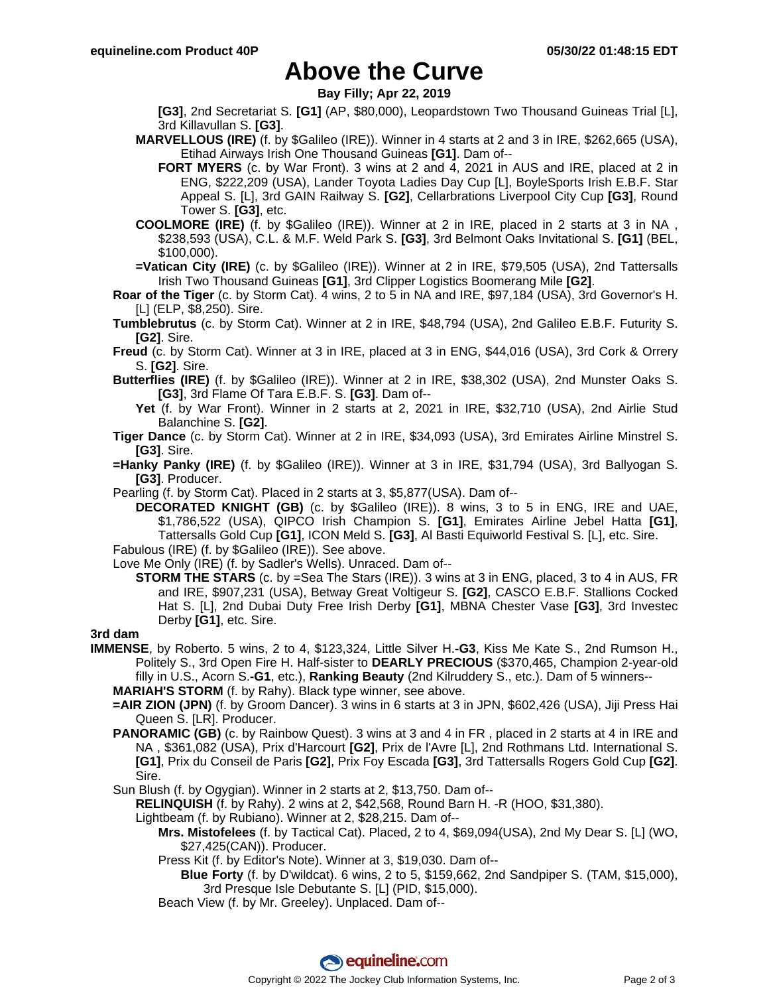## **Above the Curve**

**Bay Filly; Apr 22, 2019**

**[G3]**, 2nd Secretariat S. **[G1]** (AP, \$80,000), Leopardstown Two Thousand Guineas Trial [L], 3rd Killavullan S. **[G3]**.

- **MARVELLOUS (IRE)** (f. by \$Galileo (IRE)). Winner in 4 starts at 2 and 3 in IRE, \$262,665 (USA), Etihad Airways Irish One Thousand Guineas **[G1]**. Dam of--
	- **FORT MYERS** (c. by War Front). 3 wins at 2 and 4, 2021 in AUS and IRE, placed at 2 in ENG, \$222,209 (USA), Lander Toyota Ladies Day Cup [L], BoyleSports Irish E.B.F. Star Appeal S. [L], 3rd GAIN Railway S. **[G2]**, Cellarbrations Liverpool City Cup **[G3]**, Round Tower S. **[G3]**, etc.
- **COOLMORE (IRE)** (f. by \$Galileo (IRE)). Winner at 2 in IRE, placed in 2 starts at 3 in NA , \$238,593 (USA), C.L. & M.F. Weld Park S. **[G3]**, 3rd Belmont Oaks Invitational S. **[G1]** (BEL, \$100,000).
- **=Vatican City (IRE)** (c. by \$Galileo (IRE)). Winner at 2 in IRE, \$79,505 (USA), 2nd Tattersalls Irish Two Thousand Guineas **[G1]**, 3rd Clipper Logistics Boomerang Mile **[G2]**.
- **Roar of the Tiger** (c. by Storm Cat). 4 wins, 2 to 5 in NA and IRE, \$97,184 (USA), 3rd Governor's H. [L] (ELP, \$8,250). Sire.
- **Tumblebrutus** (c. by Storm Cat). Winner at 2 in IRE, \$48,794 (USA), 2nd Galileo E.B.F. Futurity S. **[G2]**. Sire.
- **Freud** (c. by Storm Cat). Winner at 3 in IRE, placed at 3 in ENG, \$44,016 (USA), 3rd Cork & Orrery S. **[G2]**. Sire.
- **Butterflies (IRE)** (f. by \$Galileo (IRE)). Winner at 2 in IRE, \$38,302 (USA), 2nd Munster Oaks S. **[G3]**, 3rd Flame Of Tara E.B.F. S. **[G3]**. Dam of--
	- **Yet** (f. by War Front). Winner in 2 starts at 2, 2021 in IRE, \$32,710 (USA), 2nd Airlie Stud Balanchine S. **[G2]**.
- **Tiger Dance** (c. by Storm Cat). Winner at 2 in IRE, \$34,093 (USA), 3rd Emirates Airline Minstrel S. **[G3]**. Sire.
- **=Hanky Panky (IRE)** (f. by \$Galileo (IRE)). Winner at 3 in IRE, \$31,794 (USA), 3rd Ballyogan S. **[G3]**. Producer.
- Pearling (f. by Storm Cat). Placed in 2 starts at 3, \$5,877(USA). Dam of--

**DECORATED KNIGHT (GB)** (c. by \$Galileo (IRE)). 8 wins, 3 to 5 in ENG, IRE and UAE, \$1,786,522 (USA), QIPCO Irish Champion S. **[G1]**, Emirates Airline Jebel Hatta **[G1]**, Tattersalls Gold Cup **[G1]**, ICON Meld S. **[G3]**, Al Basti Equiworld Festival S. [L], etc. Sire.

Fabulous (IRE) (f. by \$Galileo (IRE)). See above.

- Love Me Only (IRE) (f. by Sadler's Wells). Unraced. Dam of-- **STORM THE STARS** (c. by =Sea The Stars (IRE)). 3 wins at 3 in ENG, placed, 3 to 4 in AUS, FR
	- and IRE, \$907,231 (USA), Betway Great Voltigeur S. **[G2]**, CASCO E.B.F. Stallions Cocked Hat S. [L], 2nd Dubai Duty Free Irish Derby **[G1]**, MBNA Chester Vase **[G3]**, 3rd Investec Derby **[G1]**, etc. Sire.

**3rd dam**

- **IMMENSE**, by Roberto. 5 wins, 2 to 4, \$123,324, Little Silver H.**-G3**, Kiss Me Kate S., 2nd Rumson H., Politely S., 3rd Open Fire H. Half-sister to **DEARLY PRECIOUS** (\$370,465, Champion 2-year-old filly in U.S., Acorn S.**-G1**, etc.), **Ranking Beauty** (2nd Kilruddery S., etc.). Dam of 5 winners--
	- **MARIAH'S STORM** (f. by Rahy). Black type winner, see above.
	- **=AIR ZION (JPN)** (f. by Groom Dancer). 3 wins in 6 starts at 3 in JPN, \$602,426 (USA), Jiji Press Hai Queen S. [LR]. Producer.
	- **PANORAMIC (GB)** (c. by Rainbow Quest). 3 wins at 3 and 4 in FR, placed in 2 starts at 4 in IRE and NA , \$361,082 (USA), Prix d'Harcourt **[G2]**, Prix de l'Avre [L], 2nd Rothmans Ltd. International S. **[G1]**, Prix du Conseil de Paris **[G2]**, Prix Foy Escada **[G3]**, 3rd Tattersalls Rogers Gold Cup **[G2]**. Sire.
	- Sun Blush (f. by Ogygian). Winner in 2 starts at 2, \$13,750. Dam of--
		- **RELINQUISH** (f. by Rahy). 2 wins at 2, \$42,568, Round Barn H. -R (HOO, \$31,380).
		- Lightbeam (f. by Rubiano). Winner at 2, \$28,215. Dam of--
			- **Mrs. Mistofelees** (f. by Tactical Cat). Placed, 2 to 4, \$69,094(USA), 2nd My Dear S. [L] (WO, \$27,425(CAN)). Producer.
			- Press Kit (f. by Editor's Note). Winner at 3, \$19,030. Dam of--
				- **Blue Forty** (f. by D'wildcat). 6 wins, 2 to 5, \$159,662, 2nd Sandpiper S. (TAM, \$15,000), 3rd Presque Isle Debutante S. [L] (PID, \$15,000).
			- Beach View (f. by Mr. Greeley). Unplaced. Dam of--